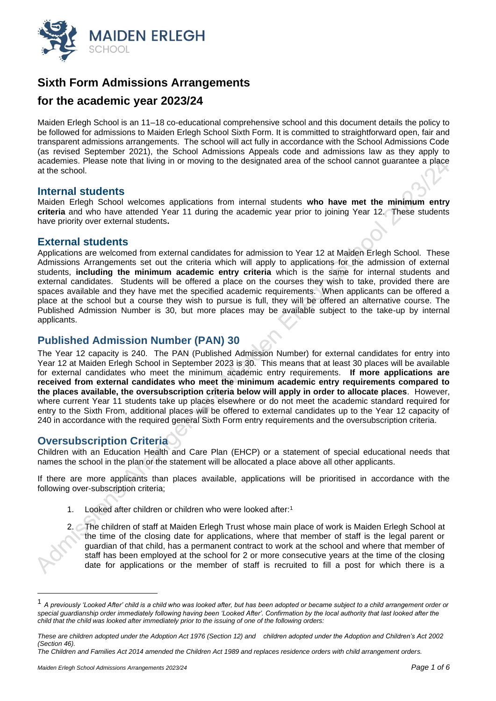

# **Sixth Form Admissions Arrangements**

## **for the academic year 2023/24**

Maiden Erlegh School is an 11–18 co-educational comprehensive school and this document details the policy to be followed for admissions to Maiden Erlegh School Sixth Form. It is committed to straightforward open, fair and transparent admissions arrangements. The school will act fully in accordance with the School Admissions Code (as revised September 2021), the School Admissions Appeals code and admissions law as they apply to academies. Please note that living in or moving to the designated area of the school cannot guarantee a place at the school.

#### **Internal students**

Maiden Erlegh School welcomes applications from internal students **who have met the minimum entry criteria** and who have attended Year 11 during the academic year prior to joining Year 12. These students have priority over external students**.**

#### **External students**

Applications are welcomed from external candidates for admission to Year 12 at Maiden Erlegh School. These Admissions Arrangements set out the criteria which will apply to applications for the admission of external students, **including the minimum academic entry criteria** which is the same for internal students and external candidates. Students will be offered a place on the courses they wish to take, provided there are spaces available and they have met the specified academic requirements. When applicants can be offered a place at the school but a course they wish to pursue is full, they will be offered an alternative course. The Published Admission Number is 30, but more places may be available subject to the take-up by internal applicants.

## **Published Admission Number (PAN) 30**

The Year 12 capacity is 240. The PAN (Published Admission Number) for external candidates for entry into Year 12 at Maiden Erlegh School in September 2023 is 30. This means that at least 30 places will be available for external candidates who meet the minimum academic entry requirements. **If more applications are received from external candidates who meet the minimum academic entry requirements compared to the places available, the oversubscription criteria below will apply in order to allocate places**. However, where current Year 11 students take up places elsewhere or do not meet the academic standard required for entry to the Sixth From, additional places will be offered to external candidates up to the Year 12 capacity of 240 in accordance with the required general Sixth Form entry requirements and the oversubscription criteria.

## **Oversubscription Criteria**

Children with an Education Health and Care Plan (EHCP) or a statement of special educational needs that names the school in the plan or the statement will be allocated a place above all other applicants.

If there are more applicants than places available, applications will be prioritised in accordance with the following over-subscription criteria;

1. Looked after children or children who were looked after:<sup>1</sup>

2. The children of staff at Maiden Erlegh Trust whose main place of work is Maiden Erlegh School at the time of the closing date for applications, where that member of staff is the legal parent or guardian of that child, has a permanent contract to work at the school and where that member of staff has been employed at the school for 2 or more consecutive years at the time of the closing date for applications or the member of staff is recruited to fill a post for which there is a

<sup>1</sup> *A previously 'Looked After' child is a child who was looked after, but has been adopted or became subject to a child arrangement order or*  special guardianship order immediately following having been 'Looked After'. Confirmation by the local authority that last looked after the *child that the child was looked after immediately prior to the issuing of one of the following orders:*

*These are children adopted under the Adoption Act 1976 (Section 12) and children adopted under the Adoption and Children's Act 2002 (Section 46).*

*The Children and Families Act 2014 amended the Children Act 1989 and replaces residence orders with child arrangement orders.*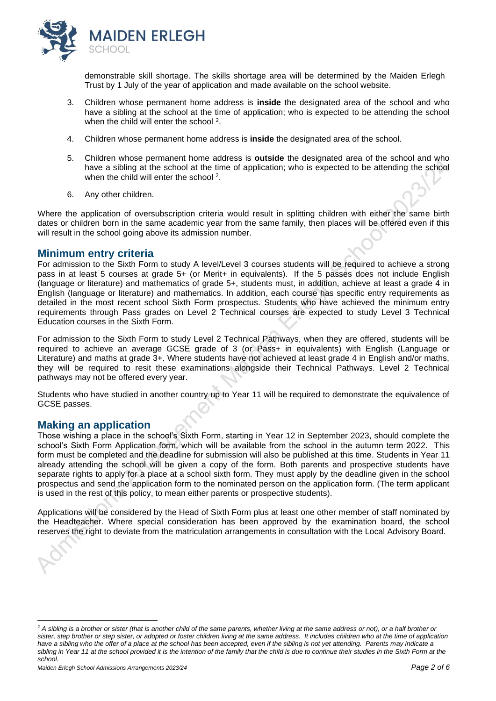

demonstrable skill shortage. The skills shortage area will be determined by the Maiden Erlegh Trust by 1 July of the year of application and made available on the school website.

- 3. Children whose permanent home address is **inside** the designated area of the school and who have a sibling at the school at the time of application; who is expected to be attending the school when the child will enter the school <sup>2</sup>.
- 4. Children whose permanent home address is **inside** the designated area of the school.
- 5. Children whose permanent home address is **outside** the designated area of the school and who have a sibling at the school at the time of application; who is expected to be attending the school when the child will enter the school<sup>2</sup>.
- 6. Any other children.

Where the application of oversubscription criteria would result in splitting children with either the same birth dates or children born in the same academic year from the same family, then places will be offered even if this will result in the school going above its admission number.

#### **Minimum entry criteria**

For admission to the Sixth Form to study A level/Level 3 courses students will be required to achieve a strong pass in at least 5 courses at grade 5+ (or Merit+ in equivalents). If the 5 passes does not include English (language or literature) and mathematics of grade 5+, students must, in addition, achieve at least a grade 4 in English (language or literature) and mathematics. In addition, each course has specific entry requirements as detailed in the most recent school Sixth Form prospectus. Students who have achieved the minimum entry requirements through Pass grades on Level 2 Technical courses are expected to study Level 3 Technical Education courses in the Sixth Form.

For admission to the Sixth Form to study Level 2 Technical Pathways, when they are offered, students will be required to achieve an average GCSE grade of 3 (or Pass+ in equivalents) with English (Language or Literature) and maths at grade 3+. Where students have not achieved at least grade 4 in English and/or maths, they will be required to resit these examinations alongside their Technical Pathways. Level 2 Technical pathways may not be offered every year.

Students who have studied in another country up to Year 11 will be required to demonstrate the equivalence of GCSE passes.

## **Making an application**

Those wishing a place in the school's Sixth Form, starting in Year 12 in September 2023, should complete the school's Sixth Form Application form, which will be available from the school in the autumn term 2022. This form must be completed and the deadline for submission will also be published at this time. Students in Year 11 already attending the school will be given a copy of the form. Both parents and prospective students have separate rights to apply for a place at a school sixth form. They must apply by the deadline given in the school prospectus and send the application form to the nominated person on the application form. (The term applicant is used in the rest of this policy, to mean either parents or prospective students).

Applications will be considered by the Head of Sixth Form plus at least one other member of staff nominated by the Headteacher. Where special consideration has been approved by the examination board, the school reserves the right to deviate from the matriculation arrangements in consultation with the Local Advisory Board.

<sup>&</sup>lt;sup>2</sup> A sibling is a brother or sister (that is another child of the same parents, whether living at the same address or not), or a half brother or sister, step brother or step sister, or adopted or foster children living at the same address. It includes children who at the *time* of application *have a sibling who the offer of a place at the school has been accepted, even if the sibling is not yet attending. Parents may indicate a sibling in Year 11 at the school provided it is the intention of the family that the child is due to continue their studies in the Sixth Form at the school.*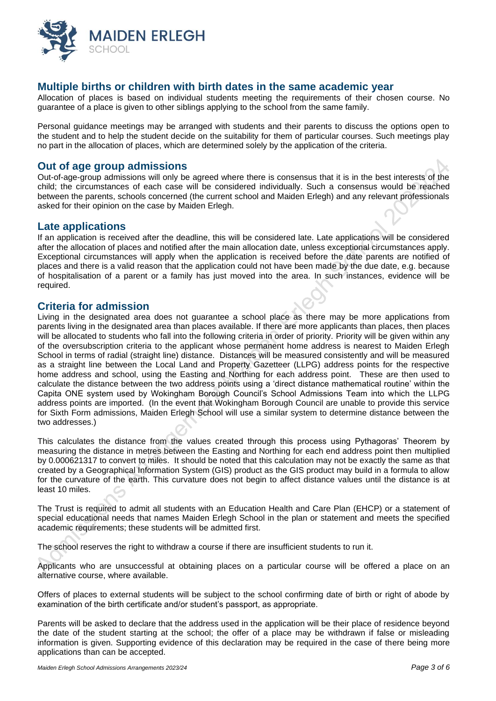

## **Multiple births or children with birth dates in the same academic year**

Allocation of places is based on individual students meeting the requirements of their chosen course. No guarantee of a place is given to other siblings applying to the school from the same family.

Personal guidance meetings may be arranged with students and their parents to discuss the options open to the student and to help the student decide on the suitability for them of particular courses. Such meetings play no part in the allocation of places, which are determined solely by the application of the criteria.

#### **Out of age group admissions**

Out-of-age-group admissions will only be agreed where there is consensus that it is in the best interests of the child; the circumstances of each case will be considered individually. Such a consensus would be reached between the parents, schools concerned (the current school and Maiden Erlegh) and any relevant professionals asked for their opinion on the case by Maiden Erlegh.

#### **Late applications**

If an application is received after the deadline, this will be considered late. Late applications will be considered after the allocation of places and notified after the main allocation date, unless exceptional circumstances apply. Exceptional circumstances will apply when the application is received before the date parents are notified of places and there is a valid reason that the application could not have been made by the due date, e.g. because of hospitalisation of a parent or a family has just moved into the area. In such instances, evidence will be required.

#### **Criteria for admission**

Living in the designated area does not guarantee a school place as there may be more applications from parents living in the designated area than places available. If there are more applicants than places, then places will be allocated to students who fall into the following criteria in order of priority. Priority will be given within any of the oversubscription criteria to the applicant whose permanent home address is nearest to Maiden Erlegh School in terms of radial (straight line) distance. Distances will be measured consistently and will be measured as a straight line between the Local Land and Property Gazetteer (LLPG) address points for the respective home address and school, using the Easting and Northing for each address point. These are then used to calculate the distance between the two address points using a 'direct distance mathematical routine' within the Capita ONE system used by Wokingham Borough Council's School Admissions Team into which the LLPG address points are imported. (In the event that Wokingham Borough Council are unable to provide this service for Sixth Form admissions, Maiden Erlegh School will use a similar system to determine distance between the two addresses.)

This calculates the distance from the values created through this process using Pythagoras' Theorem by measuring the distance in metres between the Easting and Northing for each end address point then multiplied by 0.000621317 to convert to miles. It should be noted that this calculation may not be exactly the same as that created by a Geographical Information System (GIS) product as the GIS product may build in a formula to allow for the curvature of the earth. This curvature does not begin to affect distance values until the distance is at least 10 miles.

The Trust is required to admit all students with an Education Health and Care Plan (EHCP) or a statement of special educational needs that names Maiden Erlegh School in the plan or statement and meets the specified academic requirements; these students will be admitted first.

The school reserves the right to withdraw a course if there are insufficient students to run it.

Applicants who are unsuccessful at obtaining places on a particular course will be offered a place on an alternative course, where available.

Offers of places to external students will be subject to the school confirming date of birth or right of abode by examination of the birth certificate and/or student's passport, as appropriate.

Parents will be asked to declare that the address used in the application will be their place of residence beyond the date of the student starting at the school; the offer of a place may be withdrawn if false or misleading information is given. Supporting evidence of this declaration may be required in the case of there being more applications than can be accepted.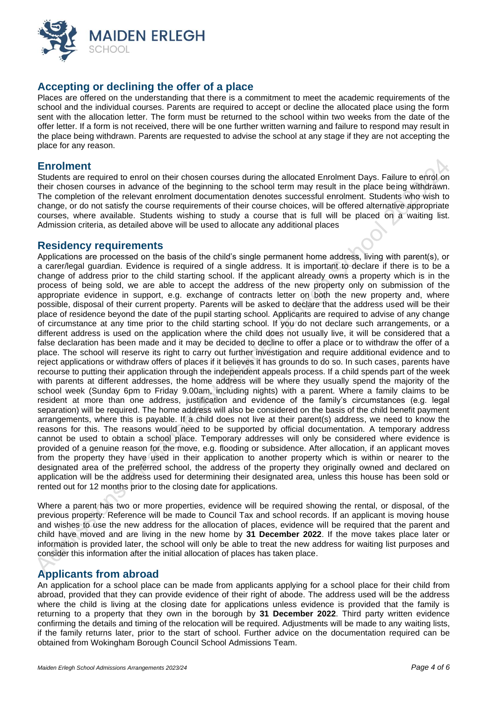

## **Accepting or declining the offer of a place**

Places are offered on the understanding that there is a commitment to meet the academic requirements of the school and the individual courses. Parents are required to accept or decline the allocated place using the form sent with the allocation letter. The form must be returned to the school within two weeks from the date of the offer letter. If a form is not received, there will be one further written warning and failure to respond may result in the place being withdrawn. Parents are requested to advise the school at any stage if they are not accepting the place for any reason.

#### **Enrolment**

Students are required to enrol on their chosen courses during the allocated Enrolment Days. Failure to enrol on their chosen courses in advance of the beginning to the school term may result in the place being withdrawn. The completion of the relevant enrolment documentation denotes successful enrolment. Students who wish to change, or do not satisfy the course requirements of their course choices, will be offered alternative appropriate courses, where available. Students wishing to study a course that is full will be placed on a waiting list. Admission criteria, as detailed above will be used to allocate any additional places

#### **Residency requirements**

Applications are processed on the basis of the child's single permanent home address, living with parent(s), or a carer/legal guardian. Evidence is required of a single address. It is important to declare if there is to be a change of address prior to the child starting school. If the applicant already owns a property which is in the process of being sold, we are able to accept the address of the new property only on submission of the appropriate evidence in support, e.g. exchange of contracts letter on both the new property and, where possible, disposal of their current property. Parents will be asked to declare that the address used will be their place of residence beyond the date of the pupil starting school. Applicants are required to advise of any change of circumstance at any time prior to the child starting school. If you do not declare such arrangements, or a different address is used on the application where the child does not usually live, it will be considered that a false declaration has been made and it may be decided to decline to offer a place or to withdraw the offer of a place. The school will reserve its right to carry out further investigation and require additional evidence and to reject applications or withdraw offers of places if it believes it has grounds to do so. In such cases, parents have recourse to putting their application through the independent appeals process. If a child spends part of the week with parents at different addresses, the home address will be where they usually spend the majority of the school week (Sunday 6pm to Friday 9.00am, including nights) with a parent. Where a family claims to be resident at more than one address, justification and evidence of the family's circumstances (e.g. legal separation) will be required. The home address will also be considered on the basis of the child benefit payment arrangements, where this is payable. If a child does not live at their parent(s) address, we need to know the reasons for this. The reasons would need to be supported by official documentation. A temporary address cannot be used to obtain a school place. Temporary addresses will only be considered where evidence is provided of a genuine reason for the move, e.g. flooding or subsidence. After allocation, if an applicant moves from the property they have used in their application to another property which is within or nearer to the designated area of the preferred school, the address of the property they originally owned and declared on application will be the address used for determining their designated area, unless this house has been sold or rented out for 12 months prior to the closing date for applications.

Where a parent has two or more properties, evidence will be required showing the rental, or disposal, of the previous property. Reference will be made to Council Tax and school records. If an applicant is moving house and wishes to use the new address for the allocation of places, evidence will be required that the parent and child have moved and are living in the new home by **31 December 2022**. If the move takes place later or information is provided later, the school will only be able to treat the new address for waiting list purposes and consider this information after the initial allocation of places has taken place.

## **Applicants from abroad**

An application for a school place can be made from applicants applying for a school place for their child from abroad, provided that they can provide evidence of their right of abode. The address used will be the address where the child is living at the closing date for applications unless evidence is provided that the family is returning to a property that they own in the borough by **31 December 2022**. Third party written evidence confirming the details and timing of the relocation will be required. Adjustments will be made to any waiting lists, if the family returns later, prior to the start of school. Further advice on the documentation required can be obtained from Wokingham Borough Council School Admissions Team.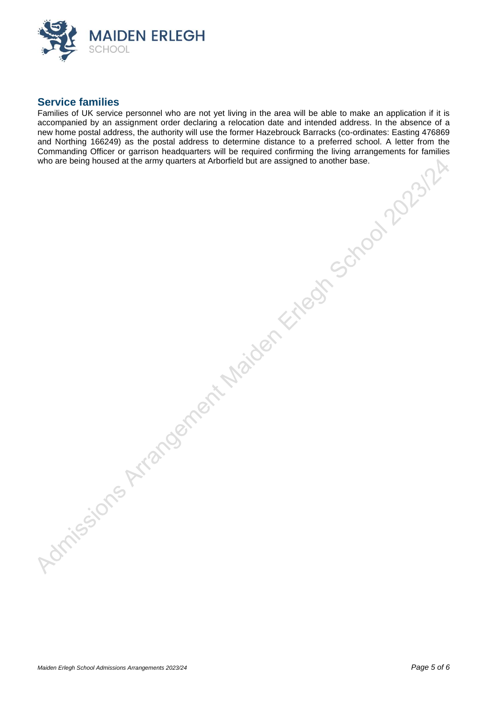

### **Service families**

Families of UK service personnel who are not yet living in the area will be able to make an application if it is accompanied by an assignment order declaring a relocation date and intended address. In the absence of a accompanied by an assignment order declaring a relocation date and intended address. In the absence of a new home postal address, the authority will use the former Hazebrouck Barracks (co-ordinates: Easting 476869 and Northing 166249) as the postal address to determine distance to a preferred school. A letter from the Commanding Officer or garrison headquarters will be required confirming the living arrangements for families who are being housed at the army quarters at Arborfield but are assigned to another base.